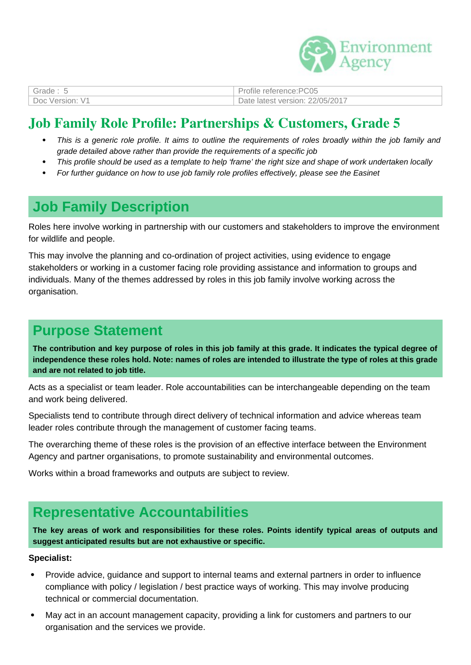

| Grade: $5$      | Profile reference:PC05          |
|-----------------|---------------------------------|
| Doc Version: V1 | Date latest version: 22/05/2017 |

## **Job Family Role Profile: Partnerships & Customers, Grade 5**

- *This is a generic role profile. It aims to outline the requirements of roles broadly within the job family and grade detailed above rather than provide the requirements of a specific job*
- *This profile should be used as a template to help 'frame' the right size and shape of work undertaken locally*
- *For further guidance on how to use job family role profiles effectively, please see the Easinet*

# **Job Family Description**

Roles here involve working in partnership with our customers and stakeholders to improve the environment for wildlife and people.

This may involve the planning and co-ordination of project activities, using evidence to engage stakeholders or working in a customer facing role providing assistance and information to groups and individuals. Many of the themes addressed by roles in this job family involve working across the organisation.

### **Purpose Statement**

**The contribution and key purpose of roles in this job family at this grade. It indicates the typical degree of independence these roles hold. Note: names of roles are intended to illustrate the type of roles at this grade and are not related to job title.**

Acts as a specialist or team leader. Role accountabilities can be interchangeable depending on the team and work being delivered.

Specialists tend to contribute through direct delivery of technical information and advice whereas team leader roles contribute through the management of customer facing teams.

The overarching theme of these roles is the provision of an effective interface between the Environment Agency and partner organisations, to promote sustainability and environmental outcomes.

Works within a broad frameworks and outputs are subject to review.

## **Representative Accountabilities**

**The key areas of work and responsibilities for these roles. Points identify typical areas of outputs and suggest anticipated results but are not exhaustive or specific.**

#### **Specialist:**

- Provide advice, guidance and support to internal teams and external partners in order to influence compliance with policy / legislation / best practice ways of working. This may involve producing technical or commercial documentation.
- May act in an account management capacity, providing a link for customers and partners to our organisation and the services we provide.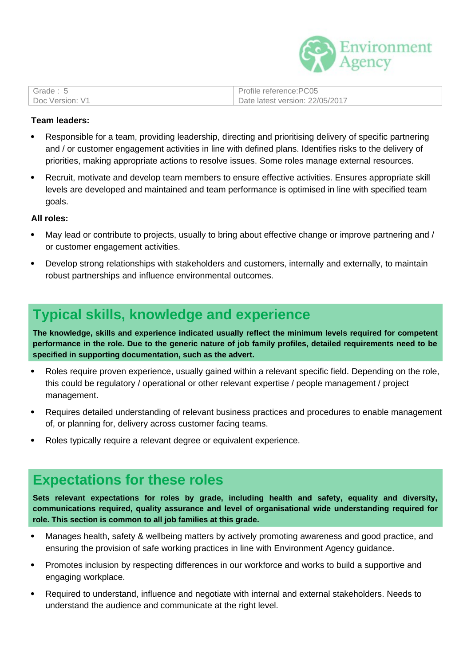

| Grade: 5        | Profile reference:PC05          |
|-----------------|---------------------------------|
| Doc Version: V1 | Date latest version: 22/05/2017 |

#### **Team leaders:**

- Responsible for a team, providing leadership, directing and prioritising delivery of specific partnering and / or customer engagement activities in line with defined plans. Identifies risks to the delivery of priorities, making appropriate actions to resolve issues. Some roles manage external resources.
- Recruit, motivate and develop team members to ensure effective activities. Ensures appropriate skill levels are developed and maintained and team performance is optimised in line with specified team goals.

#### **All roles:**

- May lead or contribute to projects, usually to bring about effective change or improve partnering and / or customer engagement activities.
- Develop strong relationships with stakeholders and customers, internally and externally, to maintain robust partnerships and influence environmental outcomes.

## **Typical skills, knowledge and experience**

**The knowledge, skills and experience indicated usually reflect the minimum levels required for competent performance in the role. Due to the generic nature of job family profiles, detailed requirements need to be specified in supporting documentation, such as the advert.**

- Roles require proven experience, usually gained within a relevant specific field. Depending on the role, this could be regulatory / operational or other relevant expertise / people management / project management.
- Requires detailed understanding of relevant business practices and procedures to enable management of, or planning for, delivery across customer facing teams.
- Roles typically require a relevant degree or equivalent experience.

### **Expectations for these roles**

**Sets relevant expectations for roles by grade, including health and safety, equality and diversity, communications required, quality assurance and level of organisational wide understanding required for role. This section is common to all job families at this grade.**

- Manages health, safety & wellbeing matters by actively promoting awareness and good practice, and ensuring the provision of safe working practices in line with Environment Agency guidance.
- Promotes inclusion by respecting differences in our workforce and works to build a supportive and engaging workplace.
- Required to understand, influence and negotiate with internal and external stakeholders. Needs to understand the audience and communicate at the right level.